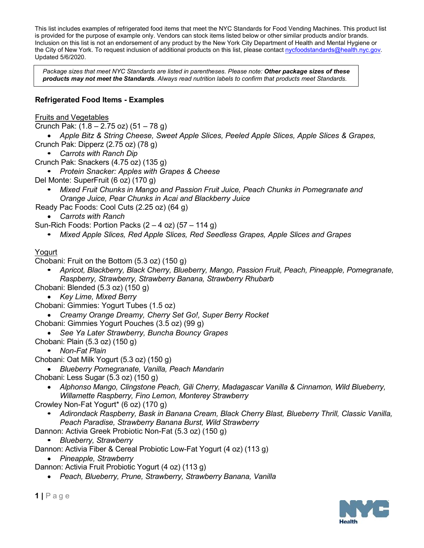*Package sizes that meet NYC Standards are listed in parentheses. Please note: Other package sizes of these products may not meet the Standards. Always read nutrition labels to confirm that products meet Standards.*

## **Refrigerated Food Items - Examples**

Fruits and Vegetables

Crunch Pak: (1.8 – 2.75 oz) (51 – 78 g)

• *Apple Bitz & String Cheese, Sweet Apple Slices, Peeled Apple Slices, Apple Slices & Grapes,*  Crunch Pak: Dipperz (2.75 oz) (78 g)

**•** *Carrots with Ranch Dip*

Crunch Pak: Snackers (4.75 oz) (135 g)

- **•** *Protein Snacker: Apples with Grapes & Cheese*
- Del Monte: SuperFruit (6 oz) (170 g)
	- **•** *Mixed Fruit Chunks in Mango and Passion Fruit Juice, Peach Chunks in Pomegranate and Orange Juice, Pear Chunks in Acai and Blackberry Juice*

Ready Pac Foods: Cool Cuts (2.25 oz) (64 g)

• *Carrots with Ranch* 

Sun-Rich Foods: Portion Packs  $(2 - 4)$  oz)  $(57 - 114)$  g)

**•** *Mixed Apple Slices, Red Apple Slices, Red Seedless Grapes, Apple Slices and Grapes*

### Yogurt

Chobani: Fruit on the Bottom (5.3 oz) (150 g)

**•** *Apricot, Blackberry, Black Cherry, Blueberry, Mango, Passion Fruit, Peach, Pineapple, Pomegranate, Raspberry, Strawberry, Strawberry Banana, Strawberry Rhubarb*

Chobani: Blended (5.3 oz) (150 g)

• *Key Lime, Mixed Berry*

Chobani: Gimmies: Yogurt Tubes (1.5 oz)

• *Creamy Orange Dreamy, Cherry Set Go!, Super Berry Rocket*

Chobani: Gimmies Yogurt Pouches (3.5 oz) (99 g)

- *See Ya Later Strawberry, Buncha Bouncy Grapes*
- Chobani: Plain (5.3 oz) (150 g)

**•** *Non-Fat Plain*

- Chobani: Oat Milk Yogurt (5.3 oz) (150 g)
	- *Blueberry Pomegranate, Vanilla, Peach Mandarin*
- Chobani: Less Sugar (5.3 oz) (150 g)

• *Alphonso Mango, Clingstone Peach, Gili Cherry, Madagascar Vanilla & Cinnamon, Wild Blueberry, Willamette Raspberry, Fino Lemon, Monterey Strawberry*

- Crowley Non-Fat Yogurt\* (6 oz) (170 g)
	- **•** *Adirondack Raspberry, Bask in Banana Cream, Black Cherry Blast, Blueberry Thrill, Classic Vanilla, Peach Paradise, Strawberry Banana Burst, Wild Strawberry*
- Dannon: Activia Greek Probiotic Non-Fat (5.3 oz) (150 g)
	- **•** *Blueberry, Strawberry*

Dannon: Activia Fiber & Cereal Probiotic Low-Fat Yogurt (4 oz) (113 g)

• *Pineapple, Strawberry*

Dannon: Activia Fruit Probiotic Yogurt (4 oz) (113 g)

• *Peach, Blueberry, Prune, Strawberry, Strawberry Banana, Vanilla*

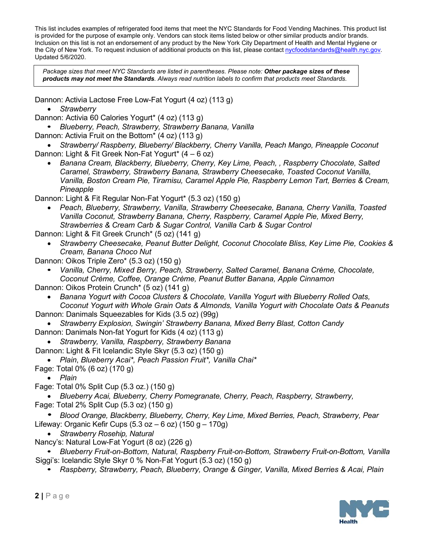*Package sizes that meet NYC Standards are listed in parentheses. Please note: Other package sizes of these products may not meet the Standards. Always read nutrition labels to confirm that products meet Standards.*

Dannon: Activia Lactose Free Low-Fat Yogurt (4 oz) (113 g)

• *Strawberry*

Dannon: Activia 60 Calories Yogurt\* (4 oz) (113 g)

- **•** *Blueberry, Peach, Strawberry, Strawberry Banana, Vanilla*
- Dannon: Activia Fruit on the Bottom\* (4 oz) (113 g)

• *Strawberry/ Raspberry, Blueberry/ Blackberry, Cherry Vanilla, Peach Mango, Pineapple Coconut*  Dannon: Light & Fit Greek Non-Fat Yogurt\* (4 – 6 oz)

• *Banana Cream, Blackberry, Blueberry, Cherry, Key Lime, Peach, , Raspberry Chocolate, Salted Caramel, Strawberry, Strawberry Banana, Strawberry Cheesecake, Toasted Coconut Vanilla, Vanilla, Boston Cream Pie, Tiramisu, Caramel Apple Pie, Raspberry Lemon Tart, Berries & Cream, Pineapple*

Dannon: Light & Fit Regular Non-Fat Yogurt\* (5.3 oz) (150 g)

- *Peach, Blueberry, Strawberry, Vanilla, Strawberry Cheesecake, Banana, Cherry Vanilla, Toasted Vanilla Coconut, Strawberry Banana, Cherry, Raspberry, Caramel Apple Pie, Mixed Berry, Strawberries & Cream Carb & Sugar Control, Vanilla Carb & Sugar Control*
- Dannon: Light & Fit Greek Crunch\* (5 oz) (141 g)
	- *Strawberry Cheesecake, Peanut Butter Delight, Coconut Chocolate Bliss, Key Lime Pie, Cookies & Cream, Banana Choco Nut*

Dannon: Oikos Triple Zero\* (5.3 oz) (150 g)

**•** *Vanilla, Cherry, Mixed Berry, Peach, Strawberry, Salted Caramel, Banana Crème, Chocolate, Coconut Crème, Coffee, Orange Crème, Peanut Butter Banana, Apple Cinnamon* 

Dannon: Oikos Protein Crunch\* (5 oz) (141 g)

- *Banana Yogurt with Cocoa Clusters & Chocolate, Vanilla Yogurt with Blueberry Rolled Oats, Coconut Yogurt with Whole Grain Oats & Almonds, Vanilla Yogurt with Chocolate Oats & Peanuts* Dannon: Danimals Squeezables for Kids (3.5 oz) (99g)
- *Strawberry Explosion, Swingin' Strawberry Banana, Mixed Berry Blast, Cotton Candy* Dannon: Danimals Non-fat Yogurt for Kids (4 oz) (113 g)
	- *Strawberry, Vanilla, Raspberry, Strawberry Banana*
- Dannon: Light & Fit Icelandic Style Skyr (5.3 oz) (150 g)
	- *Plain*, *Blueberry Acai\*, Peach Passion Fruit\*, Vanilla Chai\**
- Fage: Total 0% (6 oz) (170 g)

• *Plain*

Fage: Total 0% Split Cup (5.3 oz.) (150 g)

• *Blueberry Acai, Blueberry, Cherry Pomegranate, Cherry, Peach, Raspberry, Strawberry,*  Fage: Total 2% Split Cup (5.3 oz) (150 g)

• *Blood Orange, Blackberry, Blueberry, Cherry, Key Lime, Mixed Berries, Peach, Strawberry, Pear* Lifeway: Organic Kefir Cups  $(5.3 oz – 6 oz) (150 g – 170 g)$ 

• *Strawberry Rosehip, Natural*

Nancy's: Natural Low-Fat Yogurt (8 oz) (226 g)

**•** *Blueberry Fruit-on-Bottom, Natural, Raspberry Fruit-on-Bottom, Strawberry Fruit-on-Bottom, Vanilla* Siggi's: Icelandic Style Skyr 0 % Non-Fat Yogurt (5.3 oz) (150 g)

**•** *Raspberry, Strawberry, Peach, Blueberry, Orange & Ginger, Vanilla, Mixed Berries & Acai, Plain*

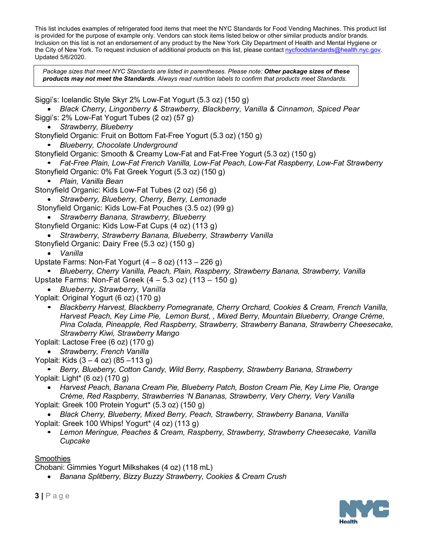*Package sizes that meet NYC Standards are listed in parentheses. Please note: Other package sizes of these products may not meet the Standards. Always read nutrition labels to confirm that products meet Standards.*

Siggi's: Icelandic Style Skyr 2% Low-Fat Yogurt (5.3 oz) (150 g)

• *Black Cherry, Lingonberry & Strawberry, Blackberry, Vanilla & Cinnamon, Spiced Pear* Siggi's: 2% Low-Fat Yogurt Tubes (2 oz) (57 g)

- *Strawberry, Blueberry*
- Stonyfield Organic: Fruit on Bottom Fat-Free Yogurt (5.3 oz) (150 g)

**•** *Blueberry, Chocolate Underground*

Stonyfield Organic: Smooth & Creamy Low-Fat and Fat-Free Yogurt (5.3 oz) (150 g)

- **•** *Fat-Free Plain, Low-Fat French Vanilla, Low-Fat Peach, Low-Fat Raspberry, Low-Fat Strawberry* Stonyfield Organic: 0% Fat Greek Yogurt (5.3 oz) (150 g)
	- **•** *Plain, Vanilla Bean*

Stonyfield Organic: Kids Low-Fat Tubes (2 oz) (56 g)

- *Strawberry, Blueberry, Cherry, Berry, Lemonade*
- Stonyfield Organic: Kids Low-Fat Pouches (3.5 oz) (99 g)
- *Strawberry Banana, Strawberry, Blueberry*
- Stonyfield Organic: Kids Low-Fat Cups (4 oz) (113 g)
- *Strawberry, Strawberry Banana, Blueberry, Strawberry Vanilla*
- Stonyfield Organic: Dairy Free (5.3 oz) (150 g)

• *Vanilla*

- Upstate Farms: Non-Fat Yogurt  $(4 8)$  oz)  $(113 226)$  g)
- **•** *Blueberry, Cherry Vanilla, Peach, Plain, Raspberry, Strawberry Banana, Strawberry, Vanilla* Upstate Farms: Non-Fat Greek (4 – 5.3 oz) (113 – 150 g)
	- *Blueberry, Strawberry, Vanilla*
- Yoplait: Original Yogurt (6 oz) (170 g)
	- **•** *Blackberry Harvest, Blackberry Pomegranate, Cherry Orchard, Cookies & Cream, French Vanilla, Harvest Peach, Key Lime Pie, Lemon Burst, , Mixed Berry, Mountain Blueberry, Orange Crème, Pina Colada, Pineapple, Red Raspberry, Strawberry, Strawberry Banana, Strawberry Cheesecake, Strawberry Kiwi, Strawberry Mango*

Yoplait: Lactose Free (6 oz) (170 g)

• *Strawberry, French Vanilla*

Yoplait: Kids (3 – 4 oz) (85 –113 g)

**•** *Berry, Blueberry, Cotton Candy, Wild Berry, Raspberry, Strawberry Banana, Strawberry* Yoplait: Light\* (6 oz) (170 g)

• *Harvest Peach, Banana Cream Pie, Blueberry Patch, Boston Cream Pie, Key Lime Pie, Orange Crème, Red Raspberry, Strawberries 'N Bananas, Strawberry, Very Cherry, Very Vanilla* Yoplait: Greek 100 Protein Yogurt\* (5.3 oz) (150 g)

• *Black Cherry, Blueberry, Mixed Berry, Peach, Strawberry, Strawberry Banana, Vanilla* Yoplait: Greek 100 Whips! Yogurt\* (4 oz) (113 g)

**•** *Lemon Meringue, Peaches & Cream, Raspberry, Strawberry, Strawberry Cheesecake, Vanilla Cupcake*

### **Smoothies**

Chobani: Gimmies Yogurt Milkshakes (4 oz) (118 mL)

• *Banana Splitberry, Bizzy Buzzy Strawberry, Cookies & Cream Crush*

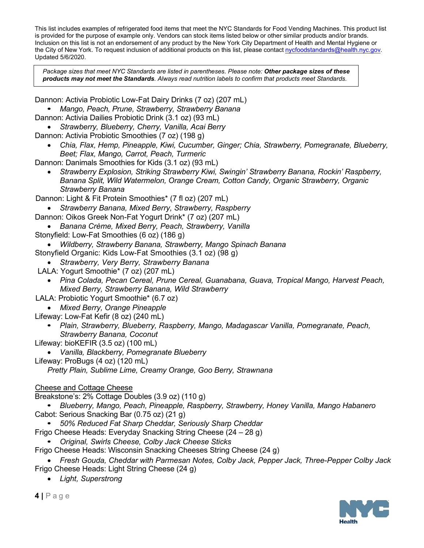*Package sizes that meet NYC Standards are listed in parentheses. Please note: Other package sizes of these products may not meet the Standards. Always read nutrition labels to confirm that products meet Standards.*

Dannon: Activia Probiotic Low-Fat Dairy Drinks (7 oz) (207 mL)

**•** *Mango, Peach, Prune, Strawberry, Strawberry Banana* Dannon: Activia Dailies Probiotic Drink (3.1 oz) (93 mL)

- *Strawberry, Blueberry, Cherry, Vanilla, Acai Berry*
- Dannon: Activia Probiotic Smoothies (7 oz) (198 g)
	- *Chia, Flax, Hemp, Pineapple, Kiwi, Cucumber, Ginger; Chia, Strawberry, Pomegranate, Blueberry, Beet; Flax, Mango, Carrot, Peach, Turmeric*
- Dannon: Danimals Smoothies for Kids (3.1 oz) (93 mL)
	- *Strawberry Explosion, Striking Strawberry Kiwi, Swingin' Strawberry Banana, Rockin' Raspberry, Banana Split, Wild Watermelon, Orange Cream, Cotton Candy, Organic Strawberry, Organic Strawberry Banana*

Dannon: Light & Fit Protein Smoothies\* (7 fl oz) (207 mL)

- *Strawberry Banana, Mixed Berry, Strawberry, Raspberry*
- Dannon: Oikos Greek Non-Fat Yogurt Drink\* (7 oz) (207 mL)
	- *Banana Crème, Mixed Berry, Peach, Strawberry, Vanilla*
- Stonyfield: Low-Fat Smoothies (6 oz) (186 g)
	- *Wildberry, Strawberry Banana, Strawberry, Mango Spinach Banana*

Stonyfield Organic: Kids Low-Fat Smoothies (3.1 oz) (98 g)

- *Strawberry, Very Berry, Strawberry Banana*
- LALA: Yogurt Smoothie\* (7 oz) (207 mL)
	- *Pina Colada, Pecan Cereal, Prune Cereal, Guanabana, Guava, Tropical Mango, Harvest Peach, Mixed Berry, Strawberry Banana, Wild Strawberry*
- LALA: Probiotic Yogurt Smoothie\* (6.7 oz)
- *Mixed Berry, Orange Pineapple*
- Lifeway: Low-Fat Kefir (8 oz) (240 mL)
	- **•** *Plain, Strawberry, Blueberry, Raspberry, Mango, Madagascar Vanilla, Pomegranate, Peach, Strawberry Banana, Coconut*
- Lifeway: bioKEFIR (3.5 oz) (100 mL)
- *Vanilla, Blackberry, Pomegranate Blueberry*
- Lifeway: ProBugs (4 oz) (120 mL)

*Pretty Plain, Sublime Lime, Creamy Orange, Goo Berry, Strawnana* 

### Cheese and Cottage Cheese

Breakstone's: 2% Cottage Doubles (3.9 oz) (110 g)

- **•** *Blueberry, Mango, Peach, Pineapple, Raspberry, Strawberry, Honey Vanilla, Mango Habanero* Cabot: Serious Snacking Bar (0.75 oz) (21 g)
- **•** *50% Reduced Fat Sharp Cheddar, Seriously Sharp Cheddar*
- Frigo Cheese Heads: Everyday Snacking String Cheese (24 28 g)
	- **•** *Original, Swirls Cheese, Colby Jack Cheese Sticks*
- Frigo Cheese Heads: Wisconsin Snacking Cheeses String Cheese (24 g)
- *Fresh Gouda, Cheddar with Parmesan Notes, Colby Jack, Pepper Jack, Three-Pepper Colby Jack* Frigo Cheese Heads: Light String Cheese (24 g)

• *Light, Superstrong*

**4 |** P a g e

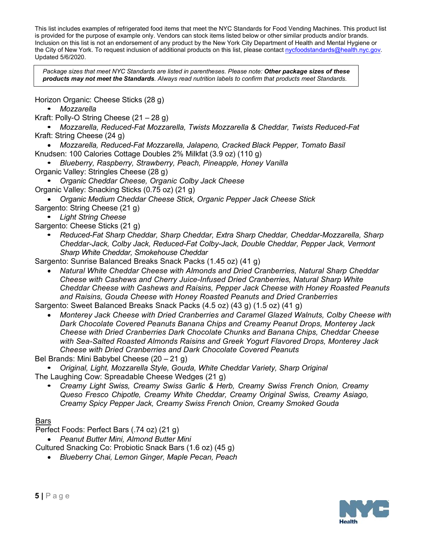*Package sizes that meet NYC Standards are listed in parentheses. Please note: Other package sizes of these products may not meet the Standards. Always read nutrition labels to confirm that products meet Standards.*

Horizon Organic: Cheese Sticks (28 g)

- **•** *Mozzarella*
- Kraft: Polly-O String Cheese (21 28 g)

**•** *Mozzarella, Reduced-Fat Mozzarella, Twists Mozzarella & Cheddar, Twists Reduced-Fat* Kraft: String Cheese (24 g)

• *Mozzarella, Reduced-Fat Mozzarella, Jalapeno, Cracked Black Pepper, Tomato Basil* Knudsen: 100 Calories Cottage Doubles 2% Milkfat (3.9 oz) (110 g)

- **•** *Blueberry, Raspberry, Strawberry, Peach, Pineapple, Honey Vanilla* Organic Valley: Stringles Cheese (28 g)
- **•** *Organic Cheddar Cheese, Organic Colby Jack Cheese*

Organic Valley: Snacking Sticks (0.75 oz) (21 g)

• *Organic Medium Cheddar Cheese Stick, Organic Pepper Jack Cheese Stick* Sargento: String Cheese (21 g)

- **•** *Light String Cheese*
- Sargento: Cheese Sticks (21 g)
	- **•** *Reduced-Fat Sharp Cheddar, Sharp Cheddar, Extra Sharp Cheddar, Cheddar-Mozzarella, Sharp Cheddar-Jack, Colby Jack, Reduced-Fat Colby-Jack, Double Cheddar, Pepper Jack, Vermont Sharp White Cheddar, Smokehouse Cheddar*

Sargento: Sunrise Balanced Breaks Snack Packs (1.45 oz) (41 g)

• *Natural White Cheddar Cheese with Almonds and Dried Cranberries, Natural Sharp Cheddar Cheese with Cashews and Cherry Juice-Infused Dried Cranberries, Natural Sharp White Cheddar Cheese with Cashews and Raisins, Pepper Jack Cheese with Honey Roasted Peanuts and Raisins, Gouda Cheese with Honey Roasted Peanuts and Dried Cranberries*

Sargento: Sweet Balanced Breaks Snack Packs (4.5 oz) (43 g) (1.5 oz) (41 g)

• *Monterey Jack Cheese with Dried Cranberries and Caramel Glazed Walnuts, Colby Cheese with Dark Chocolate Covered Peanuts Banana Chips and Creamy Peanut Drops, Monterey Jack Cheese with Dried Cranberries Dark Chocolate Chunks and Banana Chips, Cheddar Cheese with Sea-Salted Roasted Almonds Raisins and Greek Yogurt Flavored Drops, Monterey Jack Cheese with Dried Cranberries and Dark Chocolate Covered Peanuts*

Bel Brands: Mini Babybel Cheese (20 – 21 g)

- **•** *Original, Light, Mozzarella Style, Gouda, White Cheddar Variety, Sharp Original* The Laughing Cow: Spreadable Cheese Wedges (21 g)
	- **•** *Creamy Light Swiss, Creamy Swiss Garlic & Herb, Creamy Swiss French Onion, Creamy Queso Fresco Chipotle, Creamy White Cheddar, Creamy Original Swiss, Creamy Asiago, Creamy Spicy Pepper Jack, Creamy Swiss French Onion, Creamy Smoked Gouda*

# Bars

Perfect Foods: Perfect Bars (.74 oz) (21 g)

• *Peanut Butter Mini, Almond Butter Mini*

Cultured Snacking Co: Probiotic Snack Bars (1.6 oz) (45 g)

• *Blueberry Chai, Lemon Ginger, Maple Pecan, Peach*

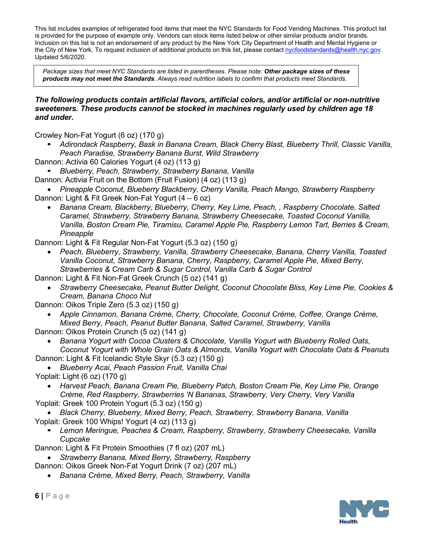*Package sizes that meet NYC Standards are listed in parentheses. Please note: Other package sizes of these products may not meet the Standards. Always read nutrition labels to confirm that products meet Standards.*

#### *The following products contain artificial flavors, artificial colors, and/or artificial or non-nutritive sweeteners. These products cannot be stocked in machines regularly used by children age 18 and under.*

Crowley Non-Fat Yogurt (6 oz) (170 g)

**•** *Adirondack Raspberry, Bask in Banana Cream, Black Cherry Blast, Blueberry Thrill, Classic Vanilla, Peach Paradise, Strawberry Banana Burst, Wild Strawberry*

Dannon: Activia 60 Calories Yogurt (4 oz) (113 g)

**•** *Blueberry, Peach, Strawberry, Strawberry Banana, Vanilla*

- Dannon: Activia Fruit on the Bottom (Fruit Fusion) (4 oz) (113 g)
- *Pineapple Coconut, Blueberry Blackberry, Cherry Vanilla, Peach Mango, Strawberry Raspberry* Dannon: Light & Fit Greek Non-Fat Yogurt (4 – 6 oz)
	- *Banana Cream, Blackberry, Blueberry, Cherry, Key Lime, Peach, , Raspberry Chocolate, Salted Caramel, Strawberry, Strawberry Banana, Strawberry Cheesecake, Toasted Coconut Vanilla, Vanilla, Boston Cream Pie, Tiramisu, Caramel Apple Pie, Raspberry Lemon Tart, Berries & Cream, Pineapple*

Dannon: Light & Fit Regular Non-Fat Yogurt (5.3 oz) (150 g)

• *Peach, Blueberry, Strawberry, Vanilla, Strawberry Cheesecake, Banana, Cherry Vanilla, Toasted Vanilla Coconut, Strawberry Banana, Cherry, Raspberry, Caramel Apple Pie, Mixed Berry, Strawberries & Cream Carb & Sugar Control, Vanilla Carb & Sugar Control*

Dannon: Light & Fit Non-Fat Greek Crunch (5 oz) (141 g)

• *Strawberry Cheesecake, Peanut Butter Delight, Coconut Chocolate Bliss, Key Lime Pie, Cookies & Cream, Banana Choco Nut*

Dannon: Oikos Triple Zero (5.3 oz) (150 g)

- *Apple Cinnamon, Banana Crème, Cherry, Chocolate, Coconut Crème, Coffee, Orange Crème, Mixed Berry, Peach, Peanut Butter Banana, Salted Caramel, Strawberry, Vanilla*
- Dannon: Oikos Protein Crunch (5 oz) (141 g)
	- *Banana Yogurt with Cocoa Clusters & Chocolate, Vanilla Yogurt with Blueberry Rolled Oats, Coconut Yogurt with Whole Grain Oats & Almonds, Vanilla Yogurt with Chocolate Oats & Peanuts*
- Dannon: Light & Fit Icelandic Style Skyr (5.3 oz) (150 g)
- *Blueberry Acai, Peach Passion Fruit, Vanilla Chai* Yoplait: Light (6 oz) (170 g)
- *Harvest Peach, Banana Cream Pie, Blueberry Patch, Boston Cream Pie, Key Lime Pie, Orange Crème, Red Raspberry, Strawberries 'N Bananas, Strawberry, Very Cherry, Very Vanilla* Yoplait: Greek 100 Protein Yogurt (5.3 oz) (150 g)
- *Black Cherry, Blueberry, Mixed Berry, Peach, Strawberry, Strawberry Banana, Vanilla* Yoplait: Greek 100 Whips! Yogurt (4 oz) (113 g)
	- **•** *Lemon Meringue, Peaches & Cream, Raspberry, Strawberry, Strawberry Cheesecake, Vanilla Cupcake*

Dannon: Light & Fit Protein Smoothies (7 fl oz) (207 mL)

- *Strawberry Banana, Mixed Berry, Strawberry, Raspberry*
- Dannon: Oikos Greek Non-Fat Yogurt Drink (7 oz) (207 mL)
	- *Banana Crème, Mixed Berry, Peach, Strawberry, Vanilla*